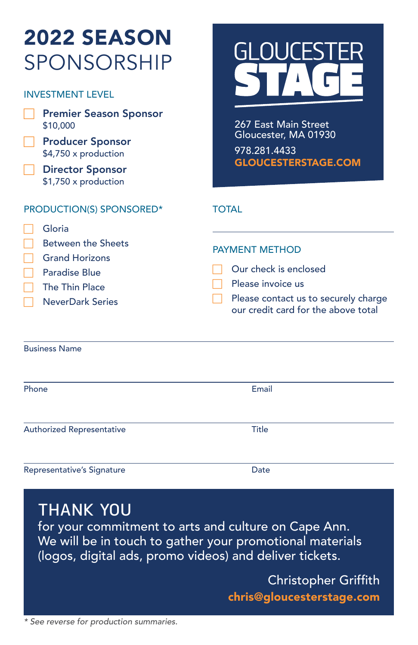| <b>2022 SEASON</b><br><b>SPONSORSHIP</b><br><b>INVESTMENT LEVEL</b><br><b>Premier Season Sponsor</b><br>\$10,000<br><b>Producer Sponsor</b><br>\$4,750 x production<br><b>Director Sponsor</b><br>\$1,750 x production | GLOUCESTER<br>267 East Main Street<br>Gloucester, MA 01930<br>978.281.4433<br><b>GLOUCESTERSTAGE.COM</b>                                                           |
|------------------------------------------------------------------------------------------------------------------------------------------------------------------------------------------------------------------------|--------------------------------------------------------------------------------------------------------------------------------------------------------------------|
| PRODUCTION(S) SPONSORED*<br>Gloria<br><b>Between the Sheets</b><br><b>Grand Horizons</b><br>Paradise Blue<br>The Thin Place<br><b>NeverDark Series</b>                                                                 | <b>TOTAL</b><br><b>PAYMENT METHOD</b><br>Our check is enclosed<br>Please invoice us<br>Please contact us to securely charge<br>our credit card for the above total |
| <b>Business Name</b>                                                                                                                                                                                                   |                                                                                                                                                                    |
| Phone                                                                                                                                                                                                                  | Email                                                                                                                                                              |
| <b>Authorized Representative</b>                                                                                                                                                                                       | Title                                                                                                                                                              |

Representative's Signature data and the Date

# **THANK YOU**

for your commitment to arts and culture on Cape Ann. We will be in touch to gather your promotional materials (logos, digital ads, promo videos) and deliver tickets.

> Christopher Griffith [chris@gloucesterstage.com](mailto:chris%40gloucesterstage.com?subject=2022%20Season%20Sponsorship)